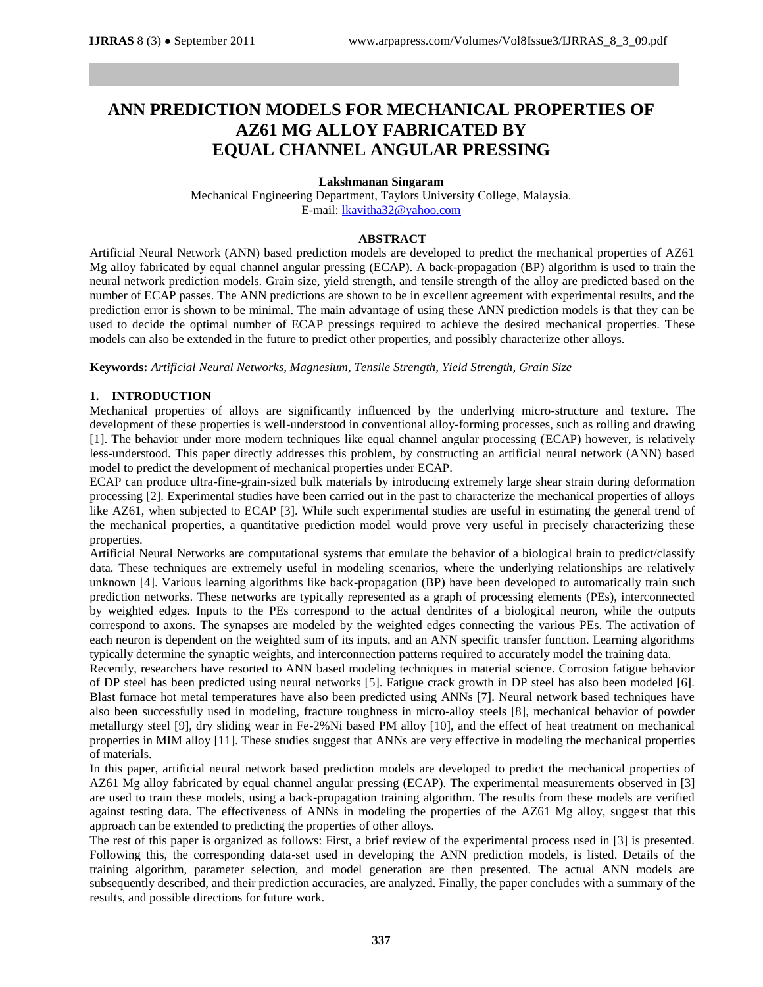# **ANN PREDICTION MODELS FOR MECHANICAL PROPERTIES OF AZ61 MG ALLOY FABRICATED BY EQUAL CHANNEL ANGULAR PRESSING**

## **Lakshmanan Singaram**

Mechanical Engineering Department, Taylors University College, Malaysia. E-mail: [lkavitha32@yahoo.com](mailto:lkavitha32@yahoo.com)

### **ABSTRACT**

Artificial Neural Network (ANN) based prediction models are developed to predict the mechanical properties of AZ61 Mg alloy fabricated by equal channel angular pressing (ECAP). A back-propagation (BP) algorithm is used to train the neural network prediction models. Grain size, yield strength, and tensile strength of the alloy are predicted based on the number of ECAP passes. The ANN predictions are shown to be in excellent agreement with experimental results, and the prediction error is shown to be minimal. The main advantage of using these ANN prediction models is that they can be used to decide the optimal number of ECAP pressings required to achieve the desired mechanical properties. These models can also be extended in the future to predict other properties, and possibly characterize other alloys.

**Keywords:** *Artificial Neural Networks, Magnesium, Tensile Strength, Yield Strength, Grain Size*

## **1. INTRODUCTION**

Mechanical properties of alloys are significantly influenced by the underlying micro-structure and texture. The development of these properties is well-understood in conventional alloy-forming processes, such as rolling and drawing [1]. The behavior under more modern techniques like equal channel angular processing (ECAP) however, is relatively less-understood. This paper directly addresses this problem, by constructing an artificial neural network (ANN) based model to predict the development of mechanical properties under ECAP.

ECAP can produce ultra-fine-grain-sized bulk materials by introducing extremely large shear strain during deformation processing [2]. Experimental studies have been carried out in the past to characterize the mechanical properties of alloys like AZ61, when subjected to ECAP [3]. While such experimental studies are useful in estimating the general trend of the mechanical properties, a quantitative prediction model would prove very useful in precisely characterizing these properties.

Artificial Neural Networks are computational systems that emulate the behavior of a biological brain to predict/classify data. These techniques are extremely useful in modeling scenarios, where the underlying relationships are relatively unknown [4]. Various learning algorithms like back-propagation (BP) have been developed to automatically train such prediction networks. These networks are typically represented as a graph of processing elements (PEs), interconnected by weighted edges. Inputs to the PEs correspond to the actual dendrites of a biological neuron, while the outputs correspond to axons. The synapses are modeled by the weighted edges connecting the various PEs. The activation of each neuron is dependent on the weighted sum of its inputs, and an ANN specific transfer function. Learning algorithms typically determine the synaptic weights, and interconnection patterns required to accurately model the training data.

Recently, researchers have resorted to ANN based modeling techniques in material science. Corrosion fatigue behavior of DP steel has been predicted using neural networks [5]. Fatigue crack growth in DP steel has also been modeled [6]. Blast furnace hot metal temperatures have also been predicted using ANNs [7]. Neural network based techniques have also been successfully used in modeling, fracture toughness in micro-alloy steels [8], mechanical behavior of powder metallurgy steel [9], dry sliding wear in Fe-2%Ni based PM alloy [10], and the effect of heat treatment on mechanical properties in MIM alloy [11]. These studies suggest that ANNs are very effective in modeling the mechanical properties of materials.

In this paper, artificial neural network based prediction models are developed to predict the mechanical properties of AZ61 Mg alloy fabricated by equal channel angular pressing (ECAP). The experimental measurements observed in [3] are used to train these models, using a back-propagation training algorithm. The results from these models are verified against testing data. The effectiveness of ANNs in modeling the properties of the AZ61 Mg alloy, suggest that this approach can be extended to predicting the properties of other alloys.

The rest of this paper is organized as follows: First, a brief review of the experimental process used in [3] is presented. Following this, the corresponding data-set used in developing the ANN prediction models, is listed. Details of the training algorithm, parameter selection, and model generation are then presented. The actual ANN models are subsequently described, and their prediction accuracies, are analyzed. Finally, the paper concludes with a summary of the results, and possible directions for future work.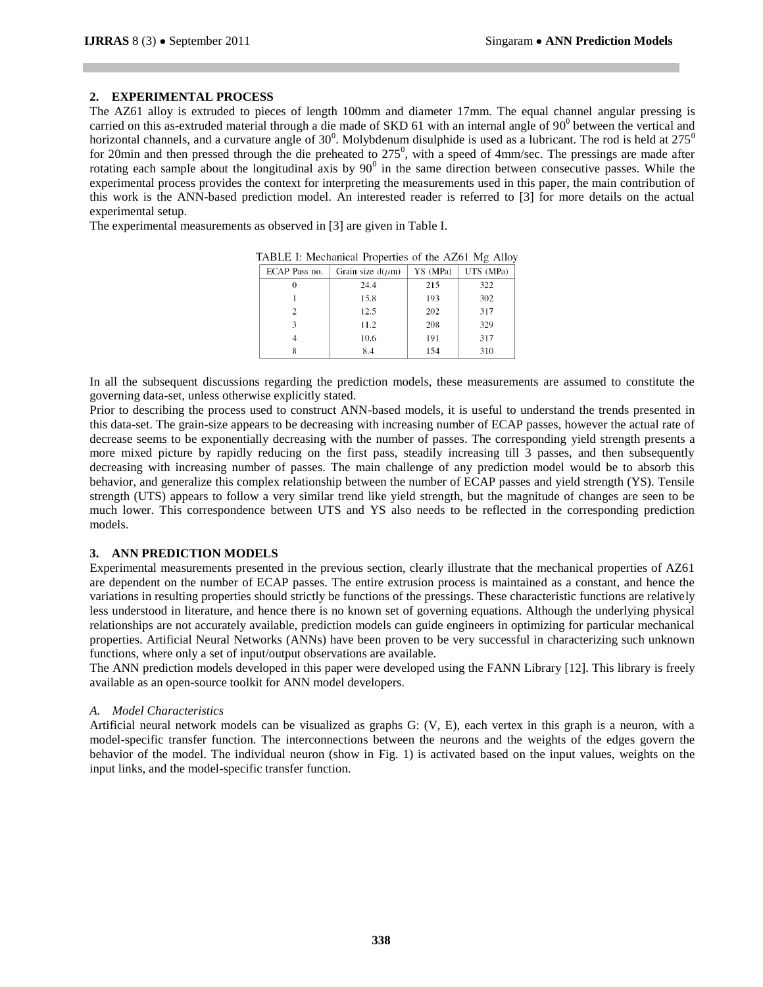## **2. EXPERIMENTAL PROCESS**

The AZ61 alloy is extruded to pieces of length 100mm and diameter 17mm. The equal channel angular pressing is carried on this as-extruded material through a die made of SKD 61 with an internal angle of 90<sup>0</sup> between the vertical and horizontal channels, and a curvature angle of  $30^0$ . Molybdenum disulphide is used as a lubricant. The rod is held at  $275^0$ for 20 $\text{min}$  and then pressed through the die preheated to 275<sup>0</sup>, with a speed of 4 $\text{mm/sec}$ . The pressings are made after rotating each sample about the longitudinal axis by  $90^0$  in the same direction between consecutive passes. While the experimental process provides the context for interpreting the measurements used in this paper, the main contribution of this work is the ANN-based prediction model. An interested reader is referred to [3] for more details on the actual experimental setup.

The experimental measurements as observed in [3] are given in Table I.

| ECAP Pass no.  | Grain size $d(\mu m)$ | YS (MPa) | UTS (MPa) |
|----------------|-----------------------|----------|-----------|
| 0              | 24.4                  | 215      | 322       |
|                | 15.8                  | 193      | 302       |
| $\mathfrak{D}$ | 12.5                  | 202      | 317       |
| 3              | 11.2                  | 208      | 329       |
|                | 10.6                  | 191      | 317       |
|                | 8.4                   | 154      | 310       |

TABLE I: Mechanical Properties of the AZ61 Mg Alloy

In all the subsequent discussions regarding the prediction models, these measurements are assumed to constitute the governing data-set, unless otherwise explicitly stated.

Prior to describing the process used to construct ANN-based models, it is useful to understand the trends presented in this data-set. The grain-size appears to be decreasing with increasing number of ECAP passes, however the actual rate of decrease seems to be exponentially decreasing with the number of passes. The corresponding yield strength presents a more mixed picture by rapidly reducing on the first pass, steadily increasing till 3 passes, and then subsequently decreasing with increasing number of passes. The main challenge of any prediction model would be to absorb this behavior, and generalize this complex relationship between the number of ECAP passes and yield strength (YS). Tensile strength (UTS) appears to follow a very similar trend like yield strength, but the magnitude of changes are seen to be much lower. This correspondence between UTS and YS also needs to be reflected in the corresponding prediction models.

## **3. ANN PREDICTION MODELS**

Experimental measurements presented in the previous section, clearly illustrate that the mechanical properties of AZ61 are dependent on the number of ECAP passes. The entire extrusion process is maintained as a constant, and hence the variations in resulting properties should strictly be functions of the pressings. These characteristic functions are relatively less understood in literature, and hence there is no known set of governing equations. Although the underlying physical relationships are not accurately available, prediction models can guide engineers in optimizing for particular mechanical properties. Artificial Neural Networks (ANNs) have been proven to be very successful in characterizing such unknown functions, where only a set of input/output observations are available.

The ANN prediction models developed in this paper were developed using the FANN Library [12]. This library is freely available as an open-source toolkit for ANN model developers.

#### *A. Model Characteristics*

Artificial neural network models can be visualized as graphs G: (V, E), each vertex in this graph is a neuron, with a model-specific transfer function. The interconnections between the neurons and the weights of the edges govern the behavior of the model. The individual neuron (show in Fig. 1) is activated based on the input values, weights on the input links, and the model-specific transfer function.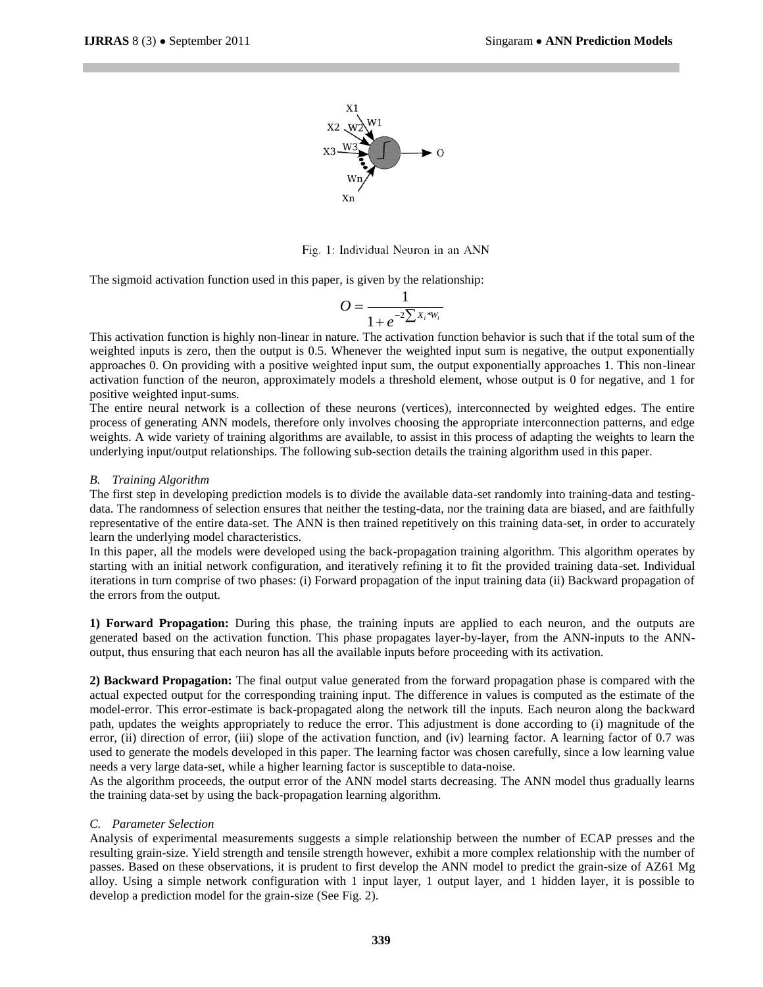

Fig. 1: Individual Neuron in an ANN

The sigmoid activation function used in this paper, is given by the relationship:

$$
O = \frac{1}{1 + e^{-2\sum_{i} x_i * w_i}}
$$

This activation function is highly non-linear in nature. The activation function behavior is such that if the total sum of the weighted inputs is zero, then the output is 0.5. Whenever the weighted input sum is negative, the output exponentially approaches 0. On providing with a positive weighted input sum, the output exponentially approaches 1. This non-linear activation function of the neuron, approximately models a threshold element, whose output is 0 for negative, and 1 for positive weighted input-sums.

The entire neural network is a collection of these neurons (vertices), interconnected by weighted edges. The entire process of generating ANN models, therefore only involves choosing the appropriate interconnection patterns, and edge weights. A wide variety of training algorithms are available, to assist in this process of adapting the weights to learn the underlying input/output relationships. The following sub-section details the training algorithm used in this paper.

#### *B. Training Algorithm*

The first step in developing prediction models is to divide the available data-set randomly into training-data and testingdata. The randomness of selection ensures that neither the testing-data, nor the training data are biased, and are faithfully representative of the entire data-set. The ANN is then trained repetitively on this training data-set, in order to accurately learn the underlying model characteristics.

In this paper, all the models were developed using the back-propagation training algorithm. This algorithm operates by starting with an initial network configuration, and iteratively refining it to fit the provided training data-set. Individual iterations in turn comprise of two phases: (i) Forward propagation of the input training data (ii) Backward propagation of the errors from the output.

**1) Forward Propagation:** During this phase, the training inputs are applied to each neuron, and the outputs are generated based on the activation function. This phase propagates layer-by-layer, from the ANN-inputs to the ANNoutput, thus ensuring that each neuron has all the available inputs before proceeding with its activation.

**2) Backward Propagation:** The final output value generated from the forward propagation phase is compared with the actual expected output for the corresponding training input. The difference in values is computed as the estimate of the model-error. This error-estimate is back-propagated along the network till the inputs. Each neuron along the backward path, updates the weights appropriately to reduce the error. This adjustment is done according to (i) magnitude of the error, (ii) direction of error, (iii) slope of the activation function, and (iv) learning factor. A learning factor of 0.7 was used to generate the models developed in this paper. The learning factor was chosen carefully, since a low learning value needs a very large data-set, while a higher learning factor is susceptible to data-noise.

As the algorithm proceeds, the output error of the ANN model starts decreasing. The ANN model thus gradually learns the training data-set by using the back-propagation learning algorithm.

#### *C. Parameter Selection*

Analysis of experimental measurements suggests a simple relationship between the number of ECAP presses and the resulting grain-size. Yield strength and tensile strength however, exhibit a more complex relationship with the number of passes. Based on these observations, it is prudent to first develop the ANN model to predict the grain-size of AZ61 Mg alloy. Using a simple network configuration with 1 input layer, 1 output layer, and 1 hidden layer, it is possible to develop a prediction model for the grain-size (See Fig. 2).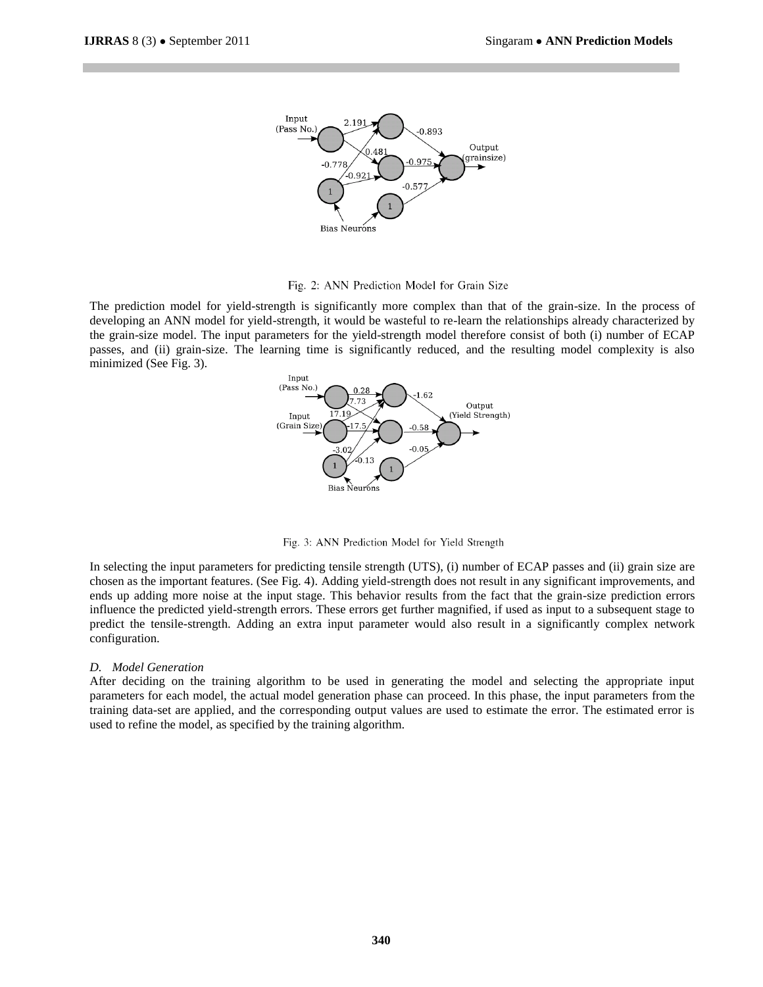

Fig. 2: ANN Prediction Model for Grain Size

The prediction model for yield-strength is significantly more complex than that of the grain-size. In the process of developing an ANN model for yield-strength, it would be wasteful to re-learn the relationships already characterized by the grain-size model. The input parameters for the yield-strength model therefore consist of both (i) number of ECAP passes, and (ii) grain-size. The learning time is significantly reduced, and the resulting model complexity is also minimized (See Fig. 3).



Fig. 3: ANN Prediction Model for Yield Strength

In selecting the input parameters for predicting tensile strength (UTS), (i) number of ECAP passes and (ii) grain size are chosen as the important features. (See Fig. 4). Adding yield-strength does not result in any significant improvements, and ends up adding more noise at the input stage. This behavior results from the fact that the grain-size prediction errors influence the predicted yield-strength errors. These errors get further magnified, if used as input to a subsequent stage to predict the tensile-strength. Adding an extra input parameter would also result in a significantly complex network configuration.

#### *D. Model Generation*

After deciding on the training algorithm to be used in generating the model and selecting the appropriate input parameters for each model, the actual model generation phase can proceed. In this phase, the input parameters from the training data-set are applied, and the corresponding output values are used to estimate the error. The estimated error is used to refine the model, as specified by the training algorithm.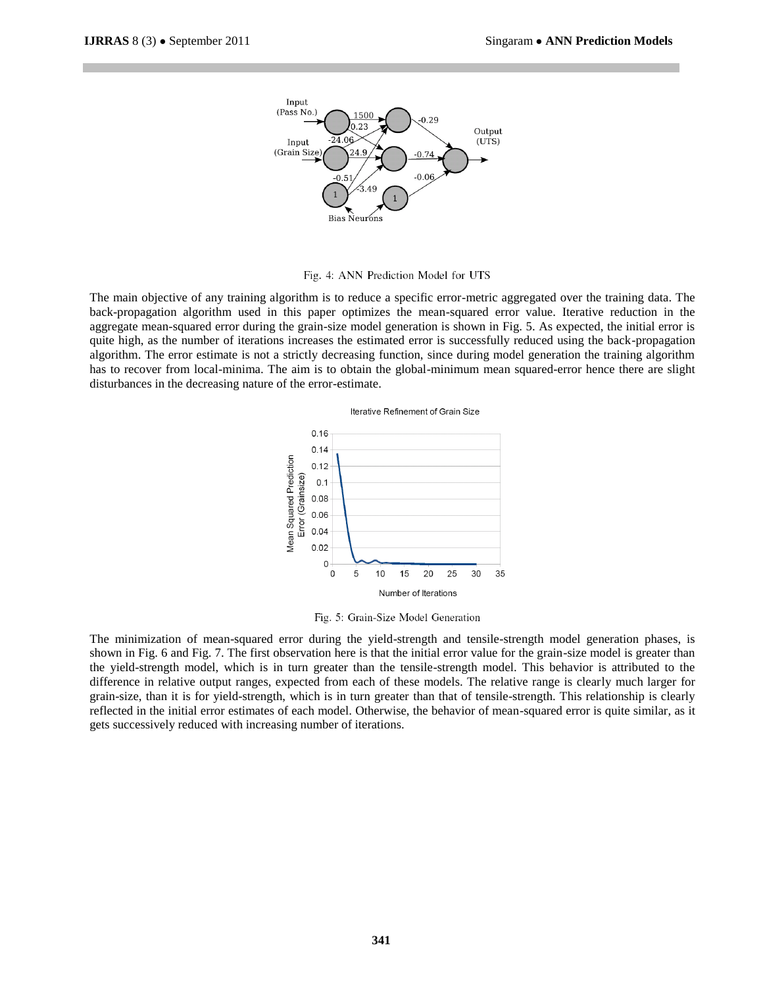

Fig. 4: ANN Prediction Model for UTS

The main objective of any training algorithm is to reduce a specific error-metric aggregated over the training data. The back-propagation algorithm used in this paper optimizes the mean-squared error value. Iterative reduction in the aggregate mean-squared error during the grain-size model generation is shown in Fig. 5. As expected, the initial error is quite high, as the number of iterations increases the estimated error is successfully reduced using the back-propagation algorithm. The error estimate is not a strictly decreasing function, since during model generation the training algorithm has to recover from local-minima. The aim is to obtain the global-minimum mean squared-error hence there are slight disturbances in the decreasing nature of the error-estimate.





Fig. 5: Grain-Size Model Generation

The minimization of mean-squared error during the yield-strength and tensile-strength model generation phases, is shown in Fig. 6 and Fig. 7. The first observation here is that the initial error value for the grain-size model is greater than the yield-strength model, which is in turn greater than the tensile-strength model. This behavior is attributed to the difference in relative output ranges, expected from each of these models. The relative range is clearly much larger for grain-size, than it is for yield-strength, which is in turn greater than that of tensile-strength. This relationship is clearly reflected in the initial error estimates of each model. Otherwise, the behavior of mean-squared error is quite similar, as it gets successively reduced with increasing number of iterations.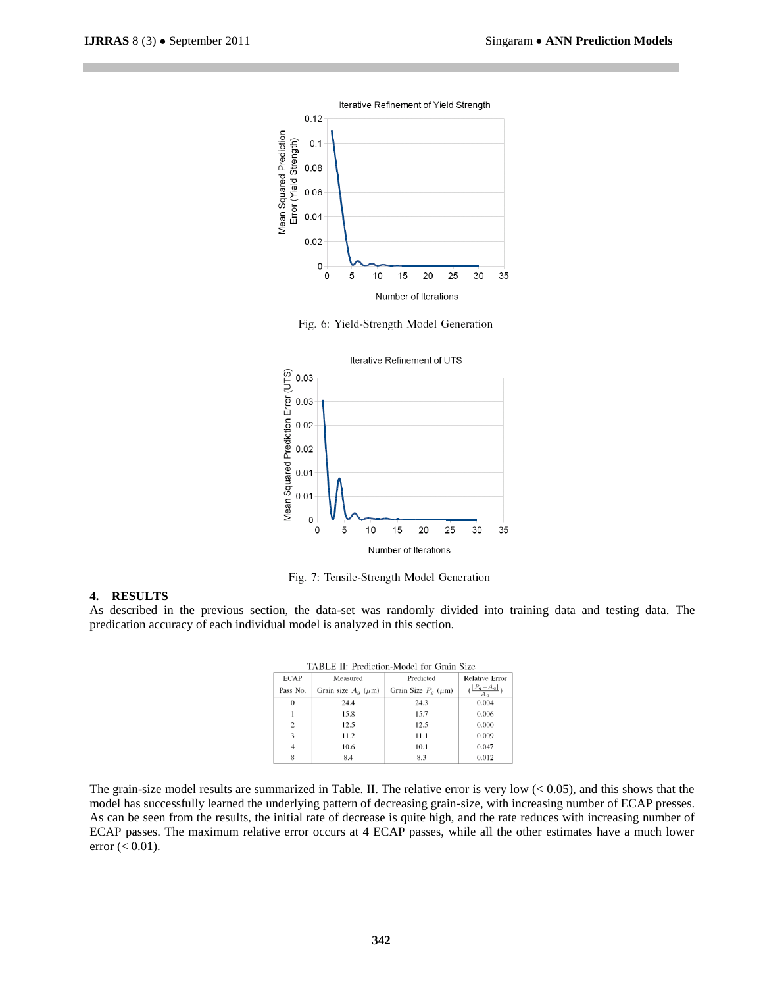

Fig. 6: Yield-Strength Model Generation



Fig. 7: Tensile-Strength Model Generation

## **4. RESULTS**

As described in the previous section, the data-set was randomly divided into training data and testing data. The predication accuracy of each individual model is analyzed in this section.

| TABLE II. PREGICION-MOGEL FOR CRAIN SIZE |                                    |                             |                                           |  |
|------------------------------------------|------------------------------------|-----------------------------|-------------------------------------------|--|
| <b>ECAP</b>                              | Measured                           | Predicted                   | <b>Relative Error</b>                     |  |
| Pass No.                                 | Grain size $A_{\alpha}$ ( $\mu$ m) | Grain Size $P_q$ ( $\mu$ m) | $\left(\frac{ P_g-A_g }{\sqrt{2}}\right)$ |  |
| $\theta$                                 | 24.4                               | 24.3                        | 0.004                                     |  |
|                                          | 15.8                               | 15.7                        | 0.006                                     |  |
| $\overline{c}$                           | 12.5                               | 12.5                        | 0.000                                     |  |
| 3                                        | 11.2                               | 11.1                        | 0.009                                     |  |
| $\overline{4}$                           | 10.6                               | 10.1                        | 0.047                                     |  |
| 8                                        | 8.4                                | 8.3                         | 0.012                                     |  |

TABLE II. Dradiation Model for Grain Size

The grain-size model results are summarized in Table. II. The relative error is very low  $(< 0.05$ ), and this shows that the model has successfully learned the underlying pattern of decreasing grain-size, with increasing number of ECAP presses. As can be seen from the results, the initial rate of decrease is quite high, and the rate reduces with increasing number of ECAP passes. The maximum relative error occurs at 4 ECAP passes, while all the other estimates have a much lower error  $(< 0.01$ ).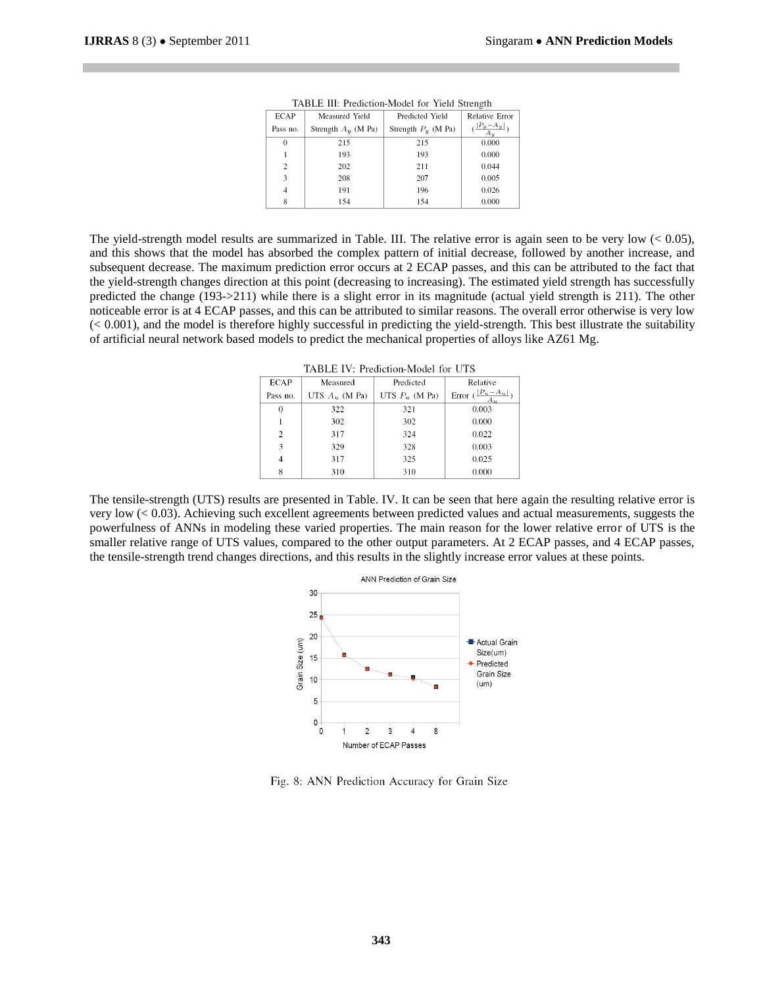| <b>ECAP</b>    | Measured Yield        | Predicted Yield       | <b>Relative Error</b>                       |
|----------------|-----------------------|-----------------------|---------------------------------------------|
| Pass no.       | Strength $A_u$ (M Pa) | Strength $P_u$ (M Pa) | $\left(\frac{ P_y - A_y }{\sqrt{2}}\right)$ |
| $\theta$       | 215                   | 215                   | 0.000                                       |
|                | 193                   | 193                   | 0.000                                       |
| $\overline{c}$ | 202                   | 211                   | 0.044                                       |
| 3              | 208                   | 207                   | 0.005                                       |
| $\overline{4}$ | 191                   | 196                   | 0.026                                       |
| 8              | 154                   | 154                   | 0.000                                       |

TABLE III: Prediction-Model for Yield Strength

The yield-strength model results are summarized in Table. III. The relative error is again seen to be very low  $(< 0.05)$ , and this shows that the model has absorbed the complex pattern of initial decrease, followed by another increase, and subsequent decrease. The maximum prediction error occurs at 2 ECAP passes, and this can be attributed to the fact that the yield-strength changes direction at this point (decreasing to increasing). The estimated yield strength has successfully predicted the change (193->211) while there is a slight error in its magnitude (actual yield strength is 211). The other noticeable error is at 4 ECAP passes, and this can be attributed to similar reasons. The overall error otherwise is very low  $( $0.001$ ), and the model is therefore highly successful in predicting the yield-strength. This best illustrate the suitability$ of artificial neural network based models to predict the mechanical properties of alloys like AZ61 Mg.

TABLE IV: Prediction-Model for UTS

| <b>ECAP</b>    | Measured         | Predicted        | Relative                                     |
|----------------|------------------|------------------|----------------------------------------------|
| Pass no.       | UTS $A_u$ (M Pa) | UTS $P_u$ (M Pa) | Error $\left(\frac{ P_u-A_u }{\cdot}\right)$ |
| $\Omega$       | 322              | 321              | 0.003                                        |
|                | 302              | 302              | 0.000                                        |
| $\mathfrak{D}$ | 317              | 324              | 0.022                                        |
| 3              | 329              | 328              | 0.003                                        |
| 4              | 317              | 325              | 0.025                                        |
| 8              | 310              | 310              | 0.000                                        |

The tensile-strength (UTS) results are presented in Table. IV. It can be seen that here again the resulting relative error is very low (< 0.03). Achieving such excellent agreements between predicted values and actual measurements, suggests the powerfulness of ANNs in modeling these varied properties. The main reason for the lower relative error of UTS is the smaller relative range of UTS values, compared to the other output parameters. At 2 ECAP passes, and 4 ECAP passes, the tensile-strength trend changes directions, and this results in the slightly increase error values at these points.



Fig. 8: ANN Prediction Accuracy for Grain Size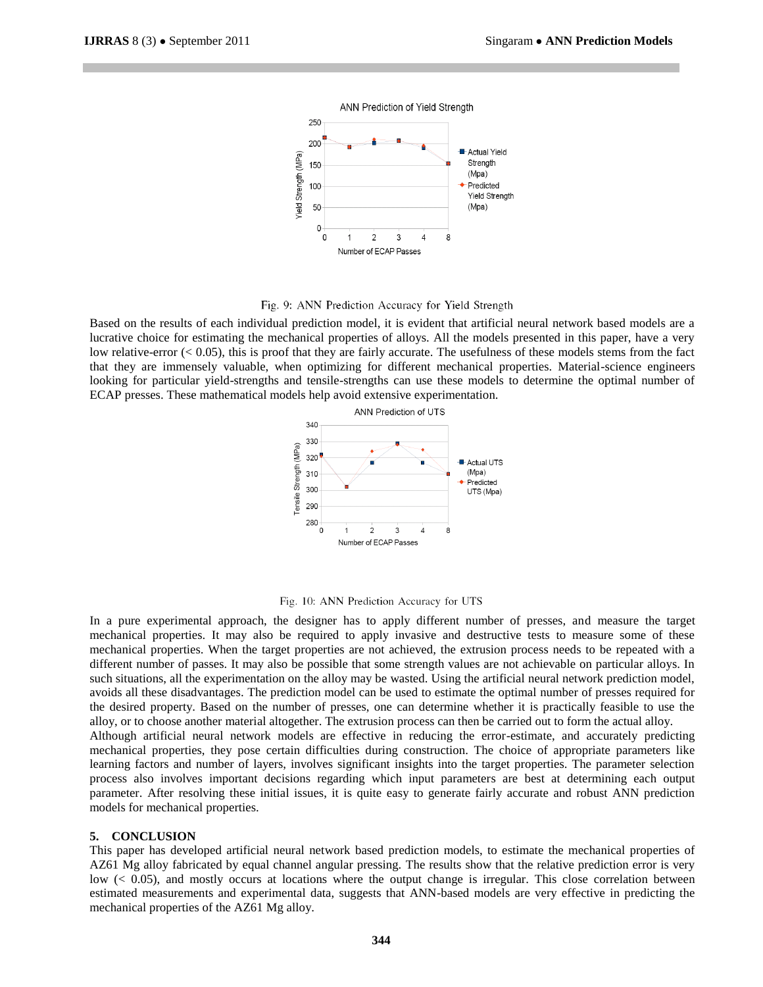

Fig. 9: ANN Prediction Accuracy for Yield Strength

Based on the results of each individual prediction model, it is evident that artificial neural network based models are a lucrative choice for estimating the mechanical properties of alloys. All the models presented in this paper, have a very low relative-error  $( $0.05$ ), this is proof that they are fairly accurate. The usefulness of these models stems from the fact$ that they are immensely valuable, when optimizing for different mechanical properties. Material-science engineers looking for particular yield-strengths and tensile-strengths can use these models to determine the optimal number of ECAP presses. These mathematical models help avoid extensive experimentation.



Fig. 10: ANN Prediction Accuracy for UTS

In a pure experimental approach, the designer has to apply different number of presses, and measure the target mechanical properties. It may also be required to apply invasive and destructive tests to measure some of these mechanical properties. When the target properties are not achieved, the extrusion process needs to be repeated with a different number of passes. It may also be possible that some strength values are not achievable on particular alloys. In such situations, all the experimentation on the alloy may be wasted. Using the artificial neural network prediction model, avoids all these disadvantages. The prediction model can be used to estimate the optimal number of presses required for the desired property. Based on the number of presses, one can determine whether it is practically feasible to use the alloy, or to choose another material altogether. The extrusion process can then be carried out to form the actual alloy. Although artificial neural network models are effective in reducing the error-estimate, and accurately predicting mechanical properties, they pose certain difficulties during construction. The choice of appropriate parameters like learning factors and number of layers, involves significant insights into the target properties. The parameter selection process also involves important decisions regarding which input parameters are best at determining each output parameter. After resolving these initial issues, it is quite easy to generate fairly accurate and robust ANN prediction models for mechanical properties.

#### **5. CONCLUSION**

This paper has developed artificial neural network based prediction models, to estimate the mechanical properties of AZ61 Mg alloy fabricated by equal channel angular pressing. The results show that the relative prediction error is very low (< 0.05), and mostly occurs at locations where the output change is irregular. This close correlation between estimated measurements and experimental data, suggests that ANN-based models are very effective in predicting the mechanical properties of the AZ61 Mg alloy.